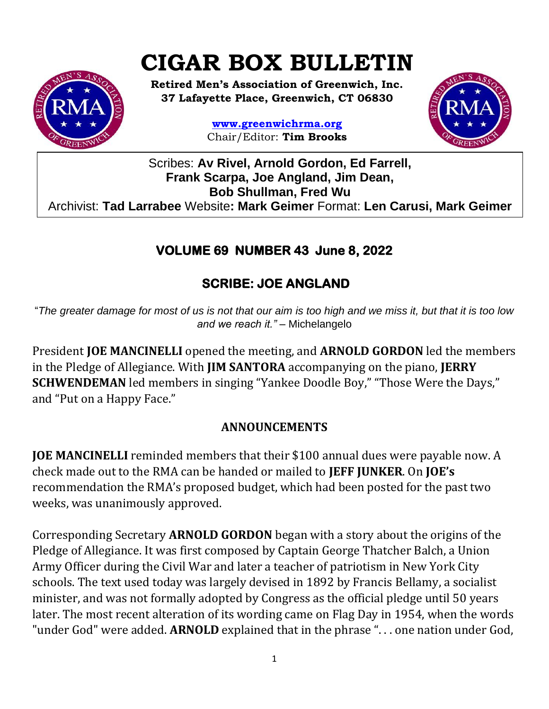# **CIGAR BOX BULLETIN**



**Retired Men's Association of Greenwich, Inc. 37 Lafayette Place, Greenwich, CT 06830**

> **www.greenwichrma.org** Chair/Editor: **Tim Brooks**



Scribes: **Av Rivel, Arnold Gordon, Ed Farrell, Frank Scarpa, Joe Angland, Jim Dean, Bob Shullman, Fred Wu** Archivist: **Tad Larrabee** Website**: Mark Geimer** Format: **Len Carusi, Mark Geimer c**

## **VOLUME 69 NUMBER 43 June 8, 2022**

# **SCRIBE: JOE ANGLAND**

"*The greater damage for most of us is not that our aim is too high and we miss it, but that it is too low and we reach it."* – Michelangelo

President **JOE MANCINELLI** opened the meeting, and **ARNOLD GORDON** led the members in the Pledge of Allegiance. With **JIM SANTORA** accompanying on the piano, **JERRY SCHWENDEMAN** led members in singing "Yankee Doodle Boy," "Those Were the Days," and "Put on a Happy Face."

### **ANNOUNCEMENTS**

**JOE MANCINELLI** reminded members that their \$100 annual dues were payable now. A check made out to the RMA can be handed or mailed to **JEFF JUNKER**. On **JOE's**  recommendation the RMA's proposed budget, which had been posted for the past two weeks, was unanimously approved.

Corresponding Secretary **ARNOLD GORDON** began with a story about the origins of the Pledge of Allegiance. It was first composed by Captain George Thatcher Balch, a Union Army Officer during the Civil War and later a teacher of patriotism in New York City schools. The text used today was largely devised in 1892 by Francis Bellamy, a socialist minister, and was not formally adopted by Congress as the official pledge until 50 years later. The most recent alteration of its wording came on Flag Day in 1954, when the words "under God" were added. **ARNOLD** explained that in the phrase ". . . one nation under God,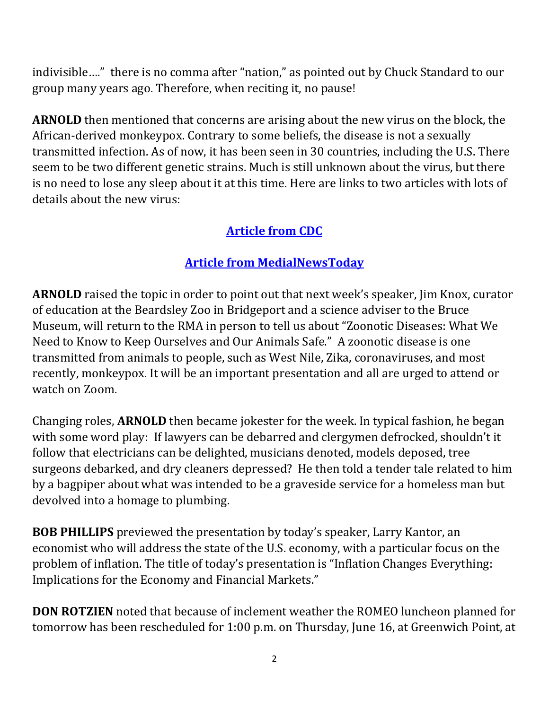indivisible…." there is no comma after "nation," as pointed out by Chuck Standard to our group many years ago. Therefore, when reciting it, no pause!

**ARNOLD** then mentioned that concerns are arising about the new virus on the block, the African-derived monkeypox. Contrary to some beliefs, the disease is not a sexually transmitted infection. As of now, it has been seen in 30 countries, including the U.S. There seem to be two different genetic strains. Much is still unknown about the virus, but there is no need to lose any sleep about it at this time. Here are links to two articles with lots of details about the new virus:

## **[Article from CDC](https://wwwnc.cdc.gov/travel/notices/alert/monkeypox)**

## **[Article from MedialNewsToday](https://www.medicalnewstoday.com/articles/what-to-know-about-monkeypox-and-the-latest-cases?utm_source=Sailthru%20Email&utm_medium=Email&utm_campaign=MNT%20Daily%20News&utm_content=2022-06-06&apid=24786294&rvid=df6665d82b45d823426bced7be5200a6e0ec9a9b1612a28966678fdb4f16d18f)**

**ARNOLD** raised the topic in order to point out that next week's speaker, Jim Knox, curator of education at the Beardsley Zoo in Bridgeport and a science adviser to the Bruce Museum, will return to the RMA in person to tell us about "Zoonotic Diseases: What We Need to Know to Keep Ourselves and Our Animals Safe." A zoonotic disease is one transmitted from animals to people, such as West Nile, Zika, coronaviruses, and most recently, monkeypox. It will be an important presentation and all are urged to attend or watch on Zoom.

Changing roles, **ARNOLD** then became jokester for the week. In typical fashion, he began with some word play: If lawyers can be debarred and clergymen defrocked, shouldn't it follow that electricians can be delighted, musicians denoted, models deposed, tree surgeons debarked, and dry cleaners depressed? He then told a tender tale related to him by a bagpiper about what was intended to be a graveside service for a homeless man but devolved into a homage to plumbing.

**BOB PHILLIPS** previewed the presentation by today's speaker, Larry Kantor, an economist who will address the state of the U.S. economy, with a particular focus on the problem of inflation. The title of today's presentation is "Inflation Changes Everything: Implications for the Economy and Financial Markets."

**DON ROTZIEN** noted that because of inclement weather the ROMEO luncheon planned for tomorrow has been rescheduled for 1:00 p.m. on Thursday, June 16, at Greenwich Point, at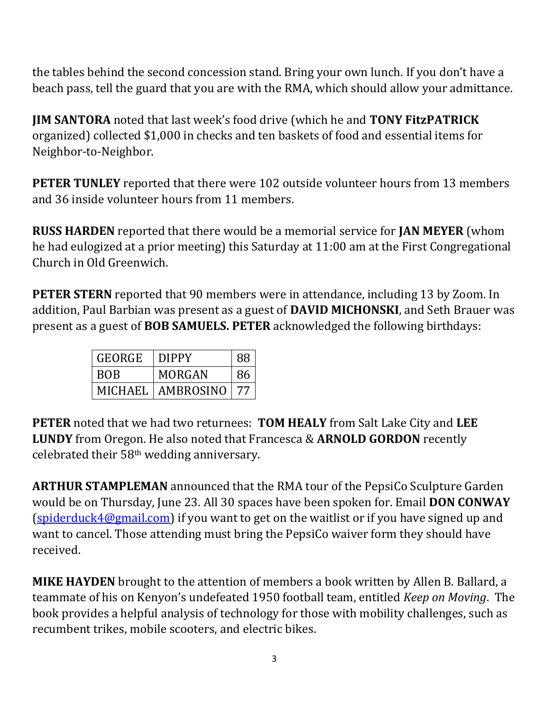the tables behind the second concession stand. Bring your own lunch. If you don't have a beach pass, tell the guard that you are with the RMA, which should allow your admittance.

**JIM SANTORA** noted that last week's food drive (which he and **TONY FitzPATRICK**  organized) collected \$1,000 in checks and ten baskets of food and essential items for Neighbor-to-Neighbor.

**PETER TUNLEY** reported that there were 102 outside volunteer hours from 13 members and 36 inside volunteer hours from 11 members.

**RUSS HARDEN** reported that there would be a memorial service for **JAN MEYER** (whom he had eulogized at a prior meeting) this Saturday at 11:00 am at the First Congregational Church in Old Greenwich.

**PETER STERN** reported that 90 members were in attendance, including 13 by Zoom. In addition, Paul Barbian was present as a guest of **DAVID MICHONSKI**, and Seth Brauer was present as a guest of **BOB SAMUELS. PETER** acknowledged the following birthdays:

| GEORGE     | <b>DIPPY</b> | 88 |
|------------|--------------|----|
| <b>BOB</b> | MORGAN       | 86 |
| MICHAEL    | AMBROSINO    |    |

**PETER** noted that we had two returnees: **TOM HEALY** from Salt Lake City and **LEE LUNDY** from Oregon. He also noted that Francesca & **ARNOLD GORDON** recently celebrated their 58th wedding anniversary.

**ARTHUR STAMPLEMAN** announced that the RMA tour of the PepsiCo Sculpture Garden would be on Thursday, June 23. All 30 spaces have been spoken for. Email **DON CONWAY**  [\(spiderduck4@gmail.com\)](mailto:spiderduck4@gmail.com) if you want to get on the waitlist or if you have signed up and want to cancel. Those attending must bring the PepsiCo waiver form they should have received.

**MIKE HAYDEN** brought to the attention of members a book written by Allen B. Ballard, a teammate of his on Kenyon's undefeated 1950 football team, entitled *Keep on Moving*. The book provides a helpful analysis of technology for those with mobility challenges, such as recumbent trikes, mobile scooters, and electric bikes.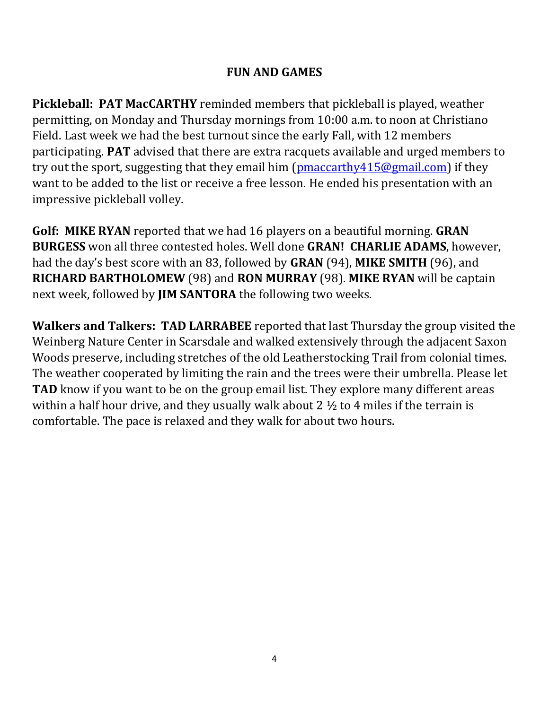#### **FUN AND GAMES**

**Pickleball: PAT MacCARTHY** reminded members that pickleball is played, weather permitting, on Monday and Thursday mornings from 10:00 a.m. to noon at Christiano Field. Last week we had the best turnout since the early Fall, with 12 members participating. **PAT** advised that there are extra racquets available and urged members to try out the sport, suggesting that they email him [\(pmaccarthy415@gmail.com\)](mailto:pmaccarthy415@gmail.com) if they want to be added to the list or receive a free lesson. He ended his presentation with an impressive pickleball volley.

**Golf: MIKE RYAN** reported that we had 16 players on a beautiful morning. **GRAN BURGESS** won all three contested holes. Well done **GRAN! CHARLIE ADAMS**, however, had the day's best score with an 83, followed by **GRAN** (94), **MIKE SMITH** (96), and **RICHARD BARTHOLOMEW** (98) and **RON MURRAY** (98). **MIKE RYAN** will be captain next week, followed by **JIM SANTORA** the following two weeks.

**Walkers and Talkers: TAD LARRABEE** reported that last Thursday the group visited the Weinberg Nature Center in Scarsdale and walked extensively through the adjacent Saxon Woods preserve, including stretches of the old Leatherstocking Trail from colonial times. The weather cooperated by limiting the rain and the trees were their umbrella. Please let **TAD** know if you want to be on the group email list. They explore many different areas within a half hour drive, and they usually walk about  $2 \frac{1}{2}$  to 4 miles if the terrain is comfortable. The pace is relaxed and they walk for about two hours.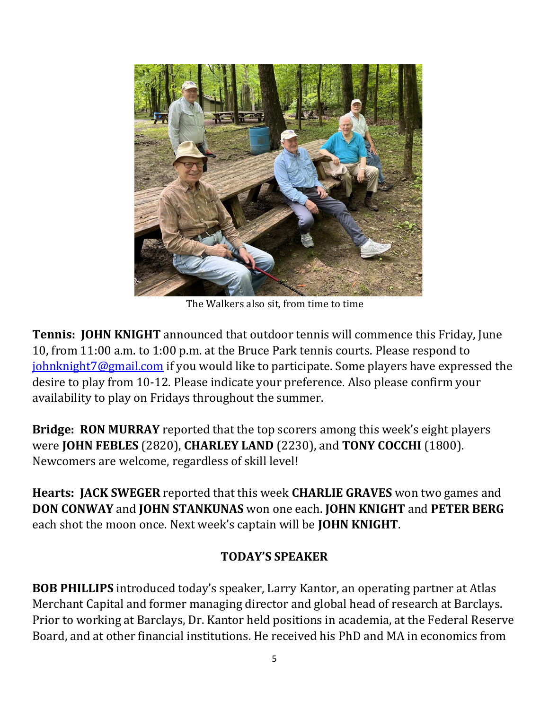

The Walkers also sit, from time to time

**Tennis: JOHN KNIGHT** announced that outdoor tennis will commence this Friday, June 10, from 11:00 a.m. to 1:00 p.m. at the Bruce Park tennis courts. Please respond to [johnknight7@gmail.com](mailto:johnknight7@gmail.com) if you would like to participate. Some players have expressed the desire to play from 10-12. Please indicate your preference. Also please confirm your availability to play on Fridays throughout the summer.

**Bridge: RON MURRAY** reported that the top scorers among this week's eight players were **JOHN FEBLES** (2820), **CHARLEY LAND** (2230), and **TONY COCCHI** (1800). Newcomers are welcome, regardless of skill level!

**Hearts: JACK SWEGER** reported that this week **CHARLIE GRAVES** won two games and **DON CONWAY** and **JOHN STANKUNAS** won one each. **JOHN KNIGHT** and **PETER BERG**  each shot the moon once. Next week's captain will be **JOHN KNIGHT**.

#### **TODAY'S SPEAKER**

**BOB PHILLIPS** introduced today's speaker, Larry Kantor, an operating partner at Atlas Merchant Capital and former managing director and global head of research at Barclays. Prior to working at Barclays, Dr. Kantor held positions in academia, at the Federal Reserve Board, and at other financial institutions. He received his PhD and MA in economics from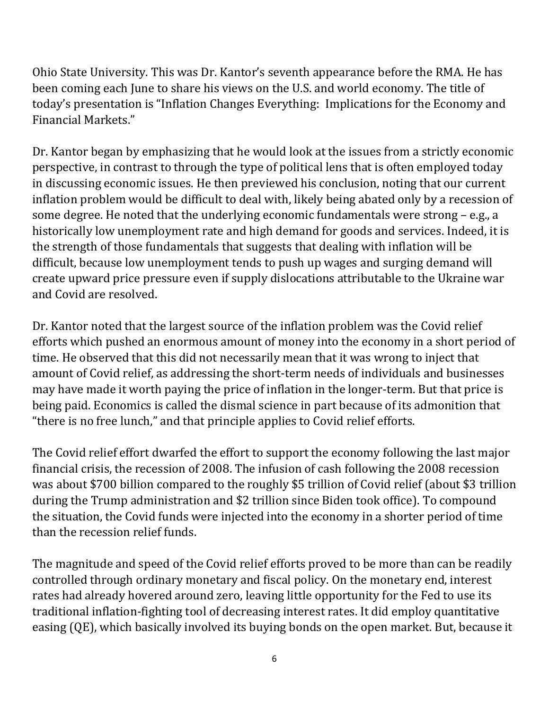Ohio State University. This was Dr. Kantor's seventh appearance before the RMA. He has been coming each June to share his views on the U.S. and world economy. The title of today's presentation is "Inflation Changes Everything: Implications for the Economy and Financial Markets."

Dr. Kantor began by emphasizing that he would look at the issues from a strictly economic perspective, in contrast to through the type of political lens that is often employed today in discussing economic issues. He then previewed his conclusion, noting that our current inflation problem would be difficult to deal with, likely being abated only by a recession of some degree. He noted that the underlying economic fundamentals were strong – e.g., a historically low unemployment rate and high demand for goods and services. Indeed, it is the strength of those fundamentals that suggests that dealing with inflation will be difficult, because low unemployment tends to push up wages and surging demand will create upward price pressure even if supply dislocations attributable to the Ukraine war and Covid are resolved.

Dr. Kantor noted that the largest source of the inflation problem was the Covid relief efforts which pushed an enormous amount of money into the economy in a short period of time. He observed that this did not necessarily mean that it was wrong to inject that amount of Covid relief, as addressing the short-term needs of individuals and businesses may have made it worth paying the price of inflation in the longer-term. But that price is being paid. Economics is called the dismal science in part because of its admonition that "there is no free lunch," and that principle applies to Covid relief efforts.

The Covid relief effort dwarfed the effort to support the economy following the last major financial crisis, the recession of 2008. The infusion of cash following the 2008 recession was about \$700 billion compared to the roughly \$5 trillion of Covid relief (about \$3 trillion during the Trump administration and \$2 trillion since Biden took office). To compound the situation, the Covid funds were injected into the economy in a shorter period of time than the recession relief funds.

The magnitude and speed of the Covid relief efforts proved to be more than can be readily controlled through ordinary monetary and fiscal policy. On the monetary end, interest rates had already hovered around zero, leaving little opportunity for the Fed to use its traditional inflation-fighting tool of decreasing interest rates. It did employ quantitative easing (QE), which basically involved its buying bonds on the open market. But, because it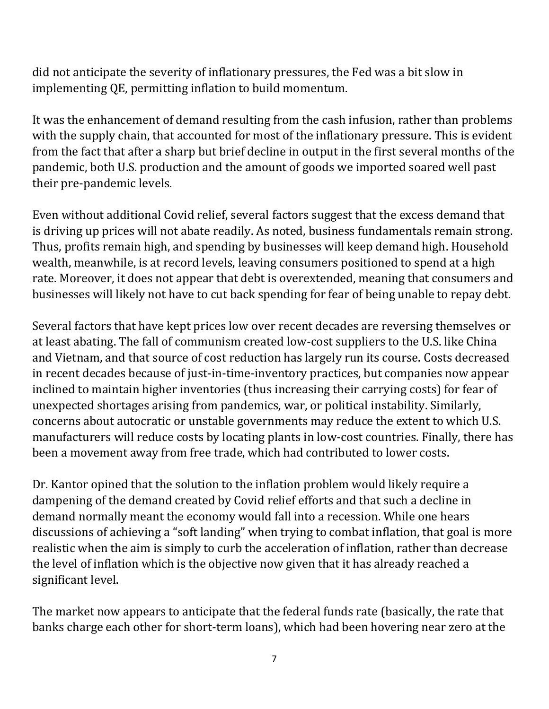did not anticipate the severity of inflationary pressures, the Fed was a bit slow in implementing QE, permitting inflation to build momentum.

It was the enhancement of demand resulting from the cash infusion, rather than problems with the supply chain, that accounted for most of the inflationary pressure. This is evident from the fact that after a sharp but brief decline in output in the first several months of the pandemic, both U.S. production and the amount of goods we imported soared well past their pre-pandemic levels.

Even without additional Covid relief, several factors suggest that the excess demand that is driving up prices will not abate readily. As noted, business fundamentals remain strong. Thus, profits remain high, and spending by businesses will keep demand high. Household wealth, meanwhile, is at record levels, leaving consumers positioned to spend at a high rate. Moreover, it does not appear that debt is overextended, meaning that consumers and businesses will likely not have to cut back spending for fear of being unable to repay debt.

Several factors that have kept prices low over recent decades are reversing themselves or at least abating. The fall of communism created low-cost suppliers to the U.S. like China and Vietnam, and that source of cost reduction has largely run its course. Costs decreased in recent decades because of just-in-time-inventory practices, but companies now appear inclined to maintain higher inventories (thus increasing their carrying costs) for fear of unexpected shortages arising from pandemics, war, or political instability. Similarly, concerns about autocratic or unstable governments may reduce the extent to which U.S. manufacturers will reduce costs by locating plants in low-cost countries. Finally, there has been a movement away from free trade, which had contributed to lower costs.

Dr. Kantor opined that the solution to the inflation problem would likely require a dampening of the demand created by Covid relief efforts and that such a decline in demand normally meant the economy would fall into a recession. While one hears discussions of achieving a "soft landing" when trying to combat inflation, that goal is more realistic when the aim is simply to curb the acceleration of inflation, rather than decrease the level of inflation which is the objective now given that it has already reached a significant level.

The market now appears to anticipate that the federal funds rate (basically, the rate that banks charge each other for short-term loans), which had been hovering near zero at the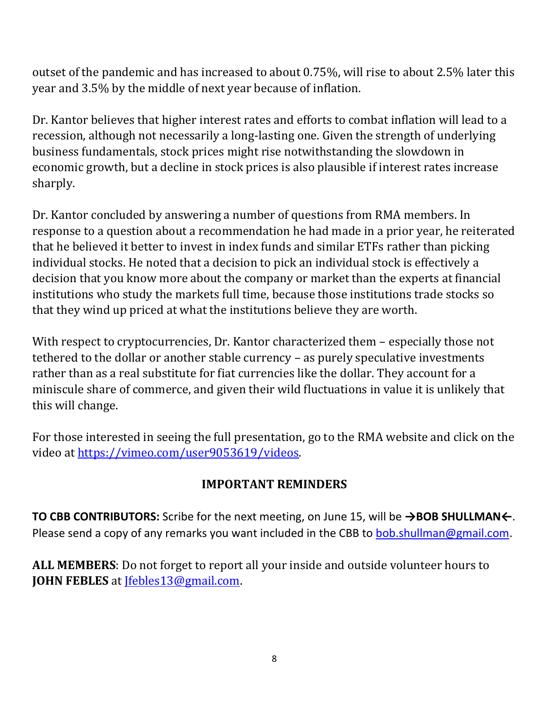outset of the pandemic and has increased to about 0.75%, will rise to about 2.5% later this year and 3.5% by the middle of next year because of inflation.

Dr. Kantor believes that higher interest rates and efforts to combat inflation will lead to a recession, although not necessarily a long-lasting one. Given the strength of underlying business fundamentals, stock prices might rise notwithstanding the slowdown in economic growth, but a decline in stock prices is also plausible if interest rates increase sharply.

Dr. Kantor concluded by answering a number of questions from RMA members. In response to a question about a recommendation he had made in a prior year, he reiterated that he believed it better to invest in index funds and similar ETFs rather than picking individual stocks. He noted that a decision to pick an individual stock is effectively a decision that you know more about the company or market than the experts at financial institutions who study the markets full time, because those institutions trade stocks so that they wind up priced at what the institutions believe they are worth.

With respect to cryptocurrencies, Dr. Kantor characterized them – especially those not tethered to the dollar or another stable currency – as purely speculative investments rather than as a real substitute for fiat currencies like the dollar. They account for a miniscule share of commerce, and given their wild fluctuations in value it is unlikely that this will change.

For those interested in seeing the full presentation, go to the RMA website and click on the video at [https://vimeo.com/user9053619/videos.](https://vimeo.com/user9053619/videos)

### **IMPORTANT REMINDERS**

**TO CBB CONTRIBUTORS:** Scribe for the next meeting, on June 15, will be **→BOB SHULLMAN←**. Please send a copy of any remarks you want included in the CBB to [bob.shullman@gmail.com.](mailto:bob.shullman@gmail.com)

**ALL MEMBERS**: Do not forget to report all your inside and outside volunteer hours to **JOHN FEBLES** at [Jfebles13@gmail.com.](mailto:Jfebles13@gmail.com)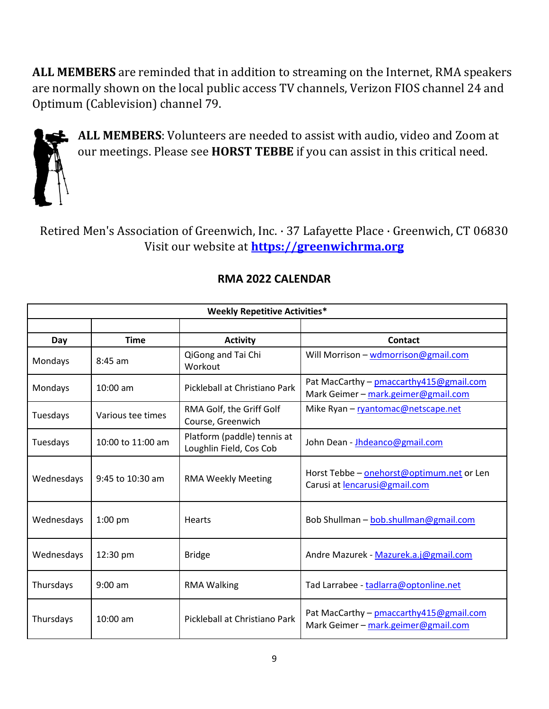**ALL MEMBERS** are reminded that in addition to streaming on the Internet, RMA speakers are normally shown on the local public access TV channels, Verizon FIOS channel 24 and Optimum (Cablevision) channel 79.



**ALL MEMBERS**: Volunteers are needed to assist with audio, video and Zoom at our meetings. Please see **HORST TEBBE** if you can assist in this critical need.

Retired Men's Association of Greenwich, Inc. · 37 Lafayette Place · Greenwich, CT 06830 Visit our website at **[https://greenwichrma.org](https://greenwichrma.org/)**

| <b>Weekly Repetitive Activities*</b> |                   |                                                        |                                                                                 |  |  |  |
|--------------------------------------|-------------------|--------------------------------------------------------|---------------------------------------------------------------------------------|--|--|--|
|                                      |                   |                                                        |                                                                                 |  |  |  |
| Day                                  | <b>Time</b>       | <b>Activity</b>                                        | Contact                                                                         |  |  |  |
| Mondays                              | $8:45$ am         | QiGong and Tai Chi<br>Workout                          | Will Morrison - wdmorrison@gmail.com                                            |  |  |  |
| Mondays                              | $10:00$ am        | Pickleball at Christiano Park                          | Pat MacCarthy - pmaccarthy 415@gmail.com<br>Mark Geimer - mark.geimer@gmail.com |  |  |  |
| Tuesdays                             | Various tee times | RMA Golf, the Griff Golf<br>Course, Greenwich          | Mike Ryan - ryantomac@netscape.net                                              |  |  |  |
| Tuesdays                             | 10:00 to 11:00 am | Platform (paddle) tennis at<br>Loughlin Field, Cos Cob | John Dean - Jhdeanco@gmail.com                                                  |  |  |  |
| Wednesdays                           | 9:45 to 10:30 am  | <b>RMA Weekly Meeting</b>                              | Horst Tebbe - onehorst@optimum.net or Len<br>Carusi at lencarusi@gmail.com      |  |  |  |
| Wednesdays                           | $1:00$ pm         | <b>Hearts</b>                                          | Bob Shullman - bob.shullman@gmail.com                                           |  |  |  |
| Wednesdays                           | 12:30 pm          | <b>Bridge</b>                                          | Andre Mazurek - Mazurek.a.j@gmail.com                                           |  |  |  |
| Thursdays                            | $9:00$ am         | <b>RMA Walking</b>                                     | Tad Larrabee - tadlarra@optonline.net                                           |  |  |  |
| Thursdays                            | $10:00$ am        | Pickleball at Christiano Park                          | Pat MacCarthy - pmaccarthy 415@gmail.com<br>Mark Geimer - mark.geimer@gmail.com |  |  |  |

#### **RMA 2022 CALENDAR**